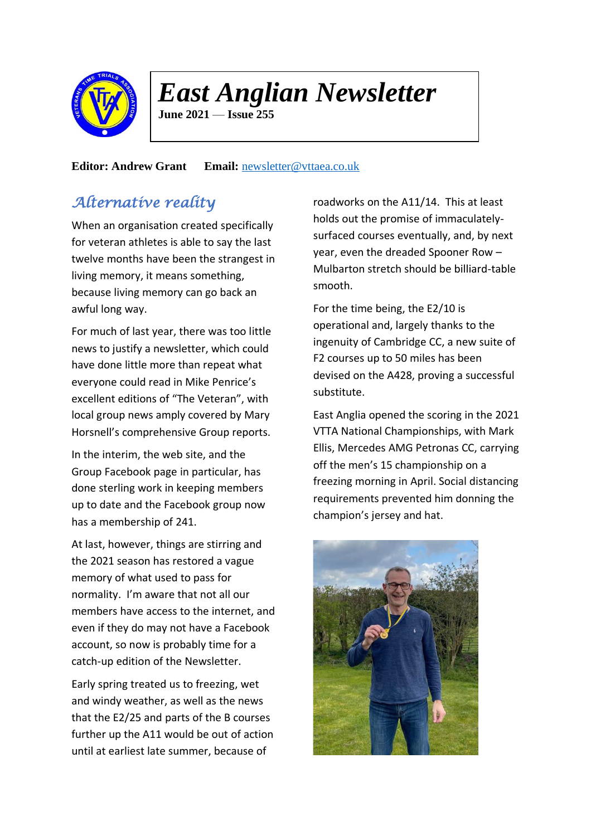

# *East Anglian Newsletter*

**June 2021** — **Issue 255**

### **Editor: Andrew Grant Email:** [newsletter@vttaea.co.uk](mailto:newsletter@vttaea.co.uk)

# *Alternative reality*

When an organisation created specifically for veteran athletes is able to say the last twelve months have been the strangest in living memory, it means something, because living memory can go back an awful long way.

For much of last year, there was too little news to justify a newsletter, which could have done little more than repeat what everyone could read in Mike Penrice's excellent editions of "The Veteran", with local group news amply covered by Mary Horsnell's comprehensive Group reports.

In the interim, the web site, and the Group Facebook page in particular, has done sterling work in keeping members up to date and the Facebook group now has a membership of 241.

At last, however, things are stirring and the 2021 season has restored a vague memory of what used to pass for normality. I'm aware that not all our members have access to the internet, and even if they do may not have a Facebook account, so now is probably time for a catch-up edition of the Newsletter.

Early spring treated us to freezing, wet and windy weather, as well as the news that the E2/25 and parts of the B courses further up the A11 would be out of action until at earliest late summer, because of

roadworks on the A11/14. This at least holds out the promise of immaculatelysurfaced courses eventually, and, by next year, even the dreaded Spooner Row – Mulbarton stretch should be billiard-table smooth.

For the time being, the E2/10 is operational and, largely thanks to the ingenuity of Cambridge CC, a new suite of F2 courses up to 50 miles has been devised on the A428, proving a successful substitute.

East Anglia opened the scoring in the 2021 VTTA National Championships, with Mark Ellis, Mercedes AMG Petronas CC, carrying off the men's 15 championship on a freezing morning in April. Social distancing requirements prevented him donning the champion's jersey and hat.

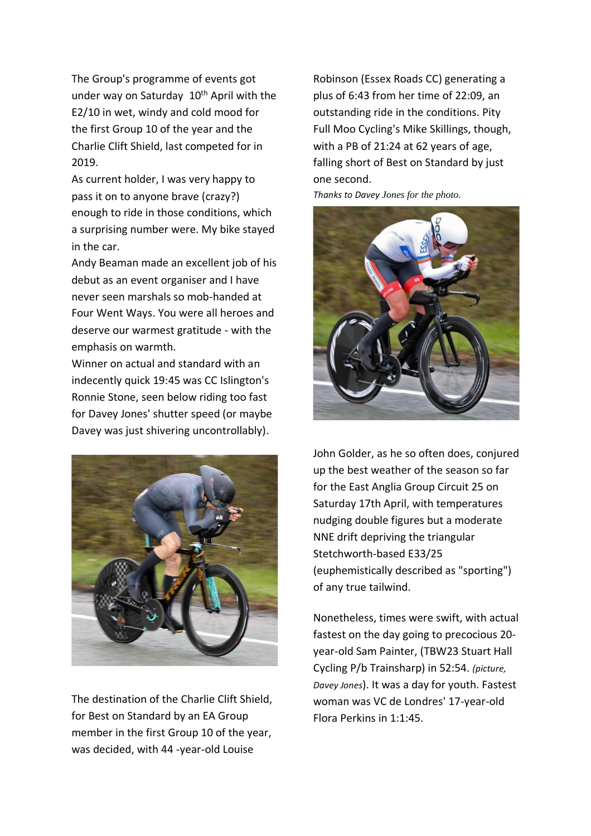The Group's programme of events got under way on Saturday 10<sup>th</sup> April with the E2/10 in wet, windy and cold mood for the first Group 10 of the year and the Charlie Clift Shield, last competed for in 2019.

As current holder, I was very happy to pass it on to anyone brave (crazy?) enough to ride in those conditions, which a surprising number were. My bike stayed in the car.

Andy Beaman made an excellent job of his debut as an event organiser and I have never seen marshals so mob-handed at Four Went Ways. You were all heroes and deserve our warmest gratitude - with the emphasis on warmth.

Winner on actual and standard with an indecently quick 19:45 was CC Islington's Ronnie Stone, seen below riding too fast for Davey Jones' shutter speed (or maybe Davey was just shivering uncontrollably).



The destination of the Charlie Clift Shield, for Best on Standard by an EA Group member in the first Group 10 of the year, was decided, with 44 -year-old Louise

Robinson (Essex Roads CC) generating a plus of 6:43 from her time of 22:09, an outstanding ride in the conditions. Pity Full Moo Cycling's Mike Skillings, though, with a PB of 21:24 at 62 years of age, falling short of Best on Standard by just one second.

*Thanks to Davey Jones for the photo.*



John Golder, as he so often does, conjured up the best weather of the season so far for the East Anglia Group Circuit 25 on Saturday 17th April, with temperatures nudging double figures but a moderate NNE drift depriving the triangular Stetchworth-based E33/25 (euphemistically described as "sporting") of any true tailwind.

Nonetheless, times were swift, with actual fastest on the day going to precocious 20 year-old Sam Painter, (TBW23 Stuart Hall Cycling P/b Trainsharp) in 52:54. *(picture, Davey Jones*). It was a day for youth. Fastest woman was VC de Londres' 17-year-old Flora Perkins in 1:1:45.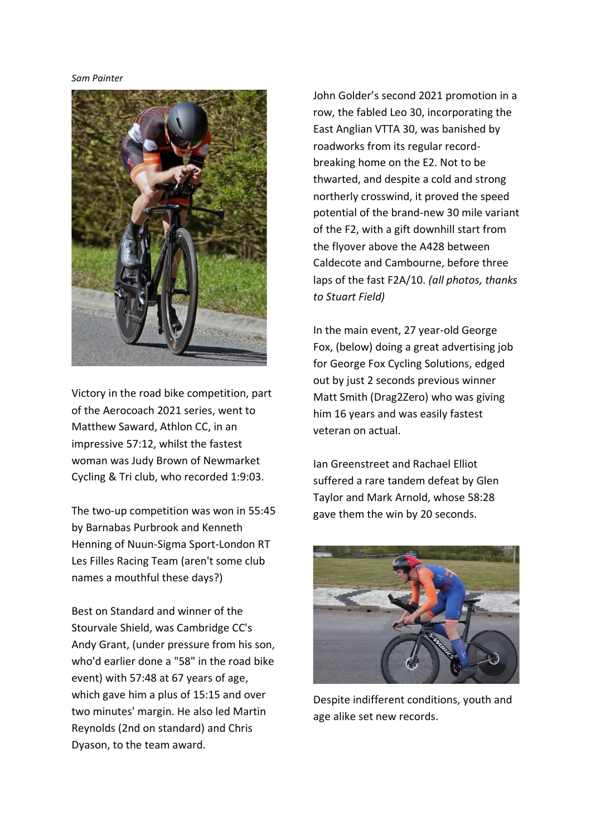#### *Sam Painter*



Victory in the road bike competition, part of the Aerocoach 2021 series, went to Matthew Saward, Athlon CC, in an impressive 57:12, whilst the fastest woman was Judy Brown of Newmarket Cycling & Tri club, who recorded 1:9:03.

The two-up competition was won in 55:45 by Barnabas Purbrook and Kenneth Henning of Nuun-Sigma Sport-London RT Les Filles Racing Team (aren't some club names a mouthful these days?)

Best on Standard and winner of the Stourvale Shield, was Cambridge CC's Andy Grant, (under pressure from his son, who'd earlier done a "58" in the road bike event) with 57:48 at 67 years of age, which gave him a plus of 15:15 and over two minutes' margin. He also led Martin Reynolds (2nd on standard) and Chris Dyason, to the team award.

John Golder's second 2021 promotion in a row, the fabled Leo 30, incorporating the East Anglian VTTA 30, was banished by roadworks from its regular recordbreaking home on the E2. Not to be thwarted, and despite a cold and strong northerly crosswind, it proved the speed potential of the brand-new 30 mile variant of the F2, with a gift downhill start from the flyover above the A428 between Caldecote and Cambourne, before three laps of the fast F2A/10. *(all photos, thanks to Stuart Field)*

In the main event, 27 year-old George Fox, (below) doing a great advertising job for George Fox Cycling Solutions, edged out by just 2 seconds previous winner Matt Smith (Drag2Zero) who was giving him 16 years and was easily fastest veteran on actual.

Ian Greenstreet and Rachael Elliot suffered a rare tandem defeat by Glen Taylor and Mark Arnold, whose 58:28 gave them the win by 20 seconds.



Despite indifferent conditions, youth and age alike set new records.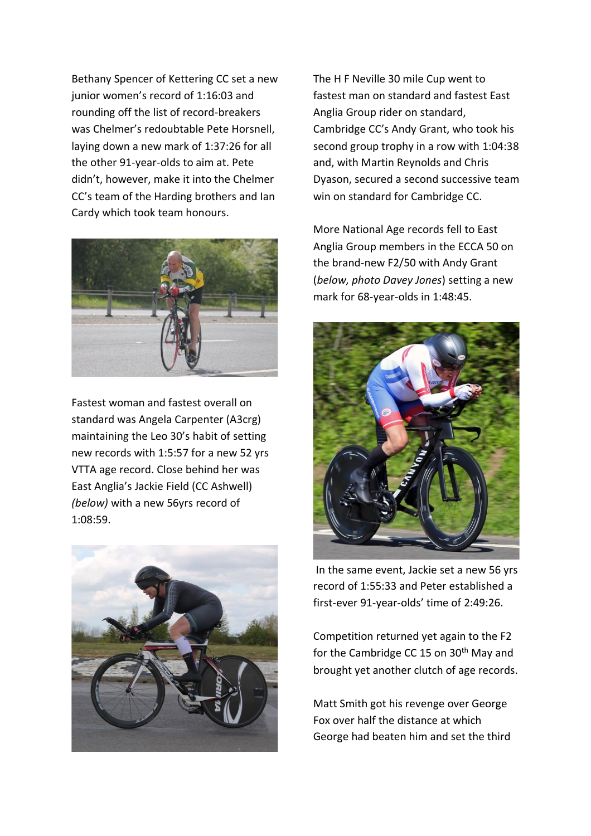Bethany Spencer of Kettering CC set a new junior women's record of 1:16:03 and rounding off the list of record-breakers was Chelmer's redoubtable Pete Horsnell, laying down a new mark of 1:37:26 for all the other 91-year-olds to aim at. Pete didn't, however, make it into the Chelmer CC's team of the Harding brothers and Ian Cardy which took team honours.



Fastest woman and fastest overall on standard was Angela Carpenter (A3crg) maintaining the Leo 30's habit of setting new records with 1:5:57 for a new 52 yrs VTTA age record. Close behind her was East Anglia's Jackie Field (CC Ashwell) *(below)* with a new 56yrs record of 1:08:59.



The H F Neville 30 mile Cup went to fastest man on standard and fastest East Anglia Group rider on standard, Cambridge CC's Andy Grant, who took his second group trophy in a row with 1:04:38 and, with Martin Reynolds and Chris Dyason, secured a second successive team win on standard for Cambridge CC.

More National Age records fell to East Anglia Group members in the ECCA 50 on the brand-new F2/50 with Andy Grant (*below, photo Davey Jones*) setting a new mark for 68-year-olds in 1:48:45.



In the same event, Jackie set a new 56 yrs record of 1:55:33 and Peter established a first-ever 91-year-olds' time of 2:49:26.

Competition returned yet again to the F2 for the Cambridge CC 15 on 30<sup>th</sup> May and brought yet another clutch of age records.

Matt Smith got his revenge over George Fox over half the distance at which George had beaten him and set the third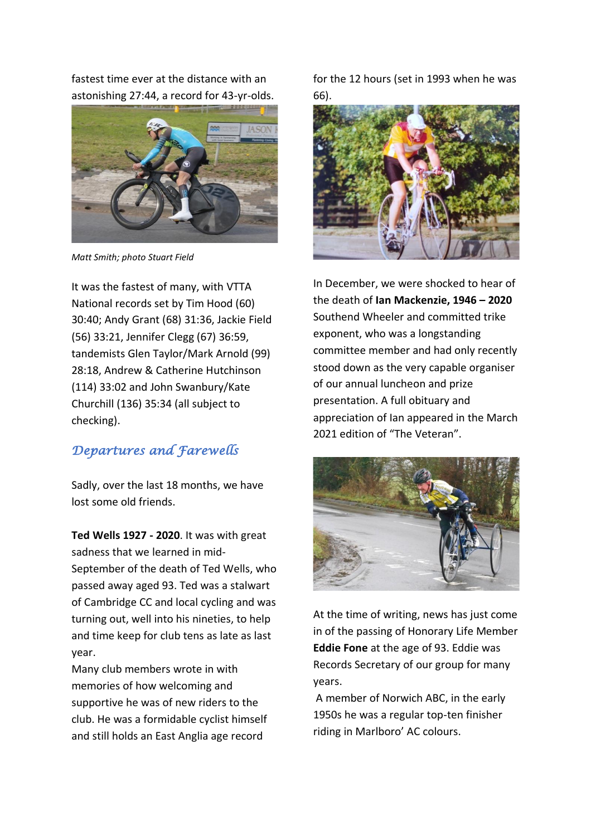fastest time ever at the distance with an astonishing 27:44, a record for 43-yr-olds.



*Matt Smith; photo Stuart Field*

It was the fastest of many, with VTTA National records set by Tim Hood (60) 30:40; Andy Grant (68) 31:36, Jackie Field (56) 33:21, Jennifer Clegg (67) 36:59, tandemists Glen Taylor/Mark Arnold (99) 28:18, Andrew & Catherine Hutchinson (114) 33:02 and John Swanbury/Kate Churchill (136) 35:34 (all subject to checking).

### *Departures and Farewells*

Sadly, over the last 18 months, we have lost some old friends.

**Ted Wells 1927 - 2020**. It was with great sadness that we learned in mid-September of the death of Ted Wells, who passed away aged 93. Ted was a stalwart of Cambridge CC and local cycling and was turning out, well into his nineties, to help and time keep for club tens as late as last year.

Many club members wrote in with memories of how welcoming and supportive he was of new riders to the club. He was a formidable cyclist himself and still holds an East Anglia age record

for the 12 hours (set in 1993 when he was 66).



In December, we were shocked to hear of the death of **Ian Mackenzie, 1946 – 2020** Southend Wheeler and committed trike exponent, who was a longstanding committee member and had only recently stood down as the very capable organiser of our annual luncheon and prize presentation. A full obituary and appreciation of Ian appeared in the March 2021 edition of "The Veteran".



At the time of writing, news has just come in of the passing of Honorary Life Member **Eddie Fone** at the age of 93. Eddie was Records Secretary of our group for many years.

A member of Norwich ABC, in the early 1950s he was a regular top-ten finisher riding in Marlboro' AC colours.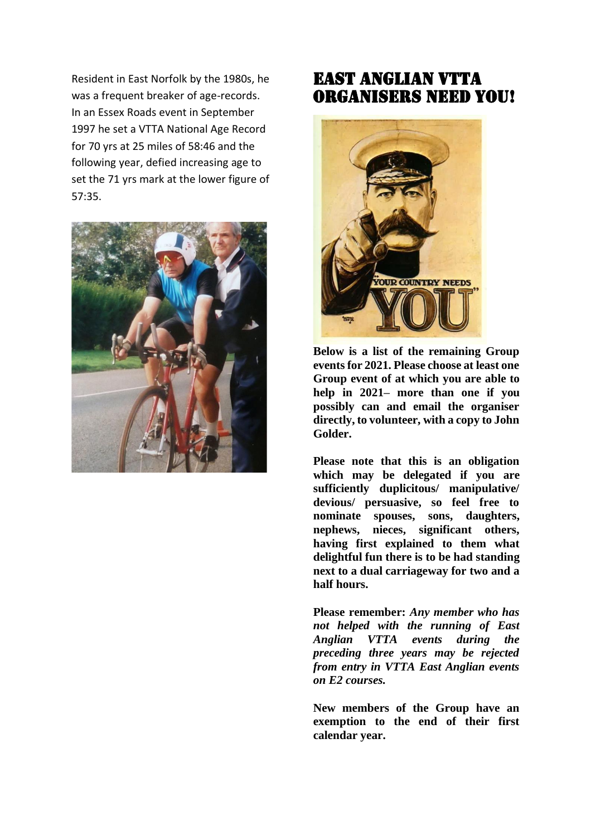Resident in East Norfolk by the 1980s, he was a frequent breaker of age-records. In an Essex Roads event in September 1997 he set a VTTA National Age Record for 70 yrs at 25 miles of 58:46 and the following year, defied increasing age to set the 71 yrs mark at the lower figure of 57:35.



## East Anglian VTTA organisers NEED YOU! i,



**Below is a list of the remaining Group events for 2021. Please choose at least one Group event of at which you are able to help in 2021– more than one if you possibly can and email the organiser directly, to volunteer, with a copy to John Golder.** 

**Please note that this is an obligation which may be delegated if you are sufficiently duplicitous/ manipulative/ devious/ persuasive, so feel free to nominate spouses, sons, daughters, nephews, nieces, significant others, having first explained to them what delightful fun there is to be had standing next to a dual carriageway for two and a half hours.**

**Please remember:** *Any member who has not helped with the running of East Anglian VTTA events during the preceding three years may be rejected from entry in VTTA East Anglian events on E2 courses.*

**New members of the Group have an exemption to the end of their first calendar year.**